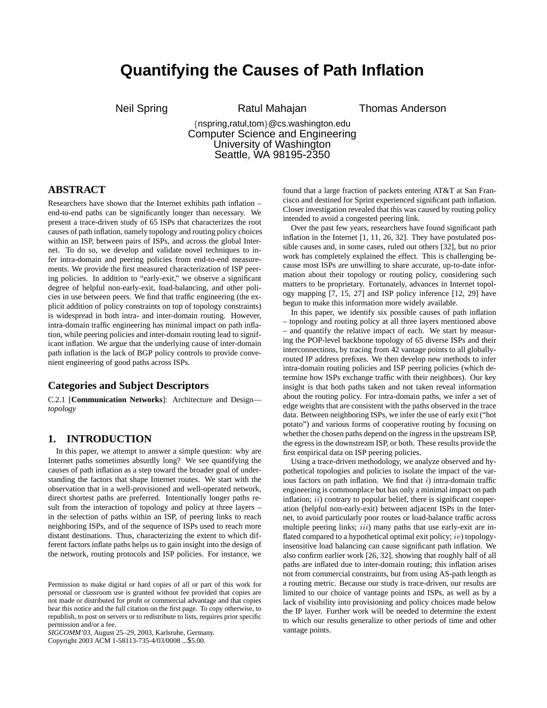# **Quantifying the Causes of Path Inflation**

Neil Spring **Ratul Mahajan** Thomas Anderson

{nspring,ratul,tom}@cs.washington.edu Computer Science and Engineering University of Washington Seattle, WA 98195-2350

# **ABSTRACT**

Researchers have shown that the Internet exhibits path inflation – end-to-end paths can be significantly longer than necessary. We present a trace-driven study of 65 ISPs that characterizes the root causes of path inflation, namely topology and routing policy choices within an ISP, between pairs of ISPs, and across the global Internet. To do so, we develop and validate novel techniques to infer intra-domain and peering policies from end-to-end measurements. We provide the first measured characterization of ISP peering policies. In addition to "early-exit," we observe a significant degree of helpful non-early-exit, load-balancing, and other policies in use between peers. We find that traffic engineering (the explicit addition of policy constraints on top of topology constraints) is widespread in both intra- and inter-domain routing. However, intra-domain traffic engineering has minimal impact on path inflation, while peering policies and inter-domain routing lead to significant inflation. We argue that the underlying cause of inter-domain path inflation is the lack of BGP policy controls to provide convenient engineering of good paths across ISPs.

## **Categories and Subject Descriptors**

C.2.1 [**Communication Networks**]: Architecture and Design *topology*

#### **1. INTRODUCTION**

In this paper, we attempt to answer a simple question: why are Internet paths sometimes absurdly long? We see quantifying the causes of path inflation as a step toward the broader goal of understanding the factors that shape Internet routes. We start with the observation that in a well-provisioned and well-operated network, direct shortest paths are preferred. Intentionally longer paths result from the interaction of topology and policy at three layers – in the selection of paths within an ISP, of peering links to reach neighboring ISPs, and of the sequence of ISPs used to reach more distant destinations. Thus, characterizing the extent to which different factors inflate paths helps us to gain insight into the design of the network, routing protocols and ISP policies. For instance, we

*SIGCOMM'03,* August 25–29, 2003, Karlsruhe, Germany.

Copyright 2003 ACM 1-58113-735-4/03/0008 ...\$5.00.

found that a large fraction of packets entering AT&T at San Francisco and destined for Sprint experienced significant path inflation. Closer investigation revealed that this was caused by routing policy intended to avoid a congested peering link.

Over the past few years, researchers have found significant path inflation in the Internet [1, 11, 26, 32]. They have postulated possible causes and, in some cases, ruled out others [32], but no prior work has completely explained the effect. This is challenging because most ISPs are unwilling to share accurate, up-to-date information about their topology or routing policy, considering such matters to be proprietary. Fortunately, advances in Internet topology mapping [7, 15, 27] and ISP policy inference [12, 29] have begun to make this information more widely available.

In this paper, we identify six possible causes of path inflation – topology and routing policy at all three layers mentioned above – and quantify the relative impact of each. We start by measuring the POP-level backbone topology of 65 diverse ISPs and their interconnections, by tracing from 42 vantage points to all globallyrouted IP address prefixes. We then develop new methods to infer intra-domain routing policies and ISP peering policies (which determine how ISPs exchange traffic with their neighbors). Our key insight is that both paths taken and not taken reveal information about the routing policy. For intra-domain paths, we infer a set of edge weights that are consistent with the paths observed in the trace data. Between neighboring ISPs, we infer the use of early exit ("hot potato") and various forms of cooperative routing by focusing on whether the chosen paths depend on the ingress in the upstream ISP, the egress in the downstream ISP, or both. These results provide the first empirical data on ISP peering policies.

Using a trace-driven methodology, we analyze observed and hypothetical topologies and policies to isolate the impact of the various factors on path inflation. We find that  $i$ ) intra-domain traffic engineering is commonplace but has only a minimal impact on path inflation;  $ii)$  contrary to popular belief, there is significant cooperation (helpful non-early-exit) between adjacent ISPs in the Internet, to avoid particularly poor routes or load-balance traffic across multiple peering links;  $iii)$  many paths that use early-exit are inflated compared to a hypothetical optimal exit policy;  $iv$ ) topologyinsensitive load balancing can cause significant path inflation. We also confirm earlier work [26, 32], showing that roughly half of all paths are inflated due to inter-domain routing; this inflation arises not from commercial constraints, but from using AS-path length as a routing metric. Because our study is trace-driven, our results are limited to our choice of vantage points and ISPs, as well as by a lack of visibility into provisioning and policy choices made below the IP layer. Further work will be needed to determine the extent to which our results generalize to other periods of time and other vantage points.

Permission to make digital or hard copies of all or part of this work for personal or classroom use is granted without fee provided that copies are not made or distributed for profit or commercial advantage and that copies bear this notice and the full citation on the first page. To copy otherwise, to republish, to post on servers or to redistribute to lists, requires prior specific permission and/or a fee.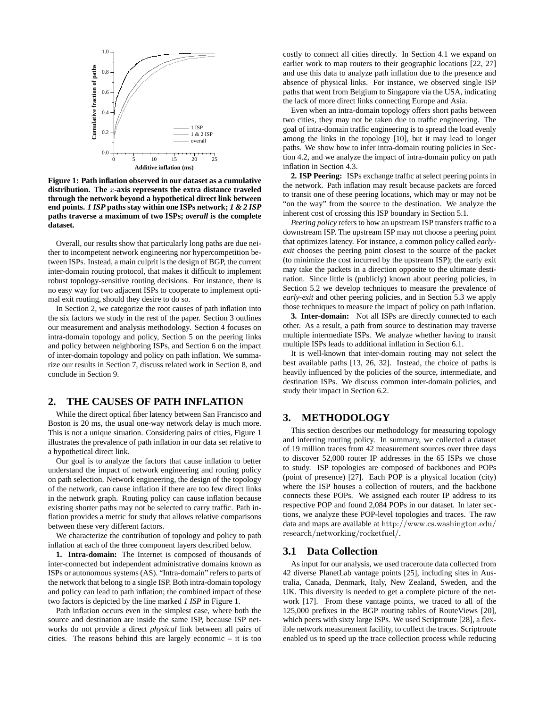

**Figure 1: Path inflation observed in our dataset as a cumulative distribution. The** x**-axis represents the extra distance traveled through the network beyond a hypothetical direct link between end points.** *1 ISP* **paths stay within one ISPs network;** *1 & 2 ISP* **paths traverse a maximum of two ISPs;** *overall* **is the complete dataset.**

Overall, our results show that particularly long paths are due neither to incompetent network engineering nor hypercompetition between ISPs. Instead, a main culprit is the design of BGP, the current inter-domain routing protocol, that makes it difficult to implement robust topology-sensitive routing decisions. For instance, there is no easy way for two adjacent ISPs to cooperate to implement optimal exit routing, should they desire to do so.

In Section 2, we categorize the root causes of path inflation into the six factors we study in the rest of the paper. Section 3 outlines our measurement and analysis methodology. Section 4 focuses on intra-domain topology and policy, Section 5 on the peering links and policy between neighboring ISPs, and Section 6 on the impact of inter-domain topology and policy on path inflation. We summarize our results in Section 7, discuss related work in Section 8, and conclude in Section 9.

### **2. THE CAUSES OF PATH INFLATION**

While the direct optical fiber latency between San Francisco and Boston is 20 ms, the usual one-way network delay is much more. This is not a unique situation. Considering pairs of cities, Figure 1 illustrates the prevalence of path inflation in our data set relative to a hypothetical direct link.

Our goal is to analyze the factors that cause inflation to better understand the impact of network engineering and routing policy on path selection. Network engineering, the design of the topology of the network, can cause inflation if there are too few direct links in the network graph. Routing policy can cause inflation because existing shorter paths may not be selected to carry traffic. Path inflation provides a metric for study that allows relative comparisons between these very different factors.

We characterize the contribution of topology and policy to path inflation at each of the three component layers described below.

**1. Intra-domain:** The Internet is composed of thousands of inter-connected but independent administrative domains known as ISPs or autonomous systems (AS). "Intra-domain" refers to parts of the network that belong to a single ISP. Both intra-domain topology and policy can lead to path inflation; the combined impact of these two factors is depicted by the line marked *1 ISP* in Figure 1.

Path inflation occurs even in the simplest case, where both the source and destination are inside the same ISP, because ISP networks do not provide a direct *physical* link between all pairs of cities. The reasons behind this are largely economic – it is too

costly to connect all cities directly. In Section 4.1 we expand on earlier work to map routers to their geographic locations [22, 27] and use this data to analyze path inflation due to the presence and absence of physical links. For instance, we observed single ISP paths that went from Belgium to Singapore via the USA, indicating the lack of more direct links connecting Europe and Asia.

Even when an intra-domain topology offers short paths between two cities, they may not be taken due to traffic engineering. The goal of intra-domain traffic engineering is to spread the load evenly among the links in the topology [10], but it may lead to longer paths. We show how to infer intra-domain routing policies in Section 4.2, and we analyze the impact of intra-domain policy on path inflation in Section 4.3.

**2. ISP Peering:** ISPs exchange traffic at select peering points in the network. Path inflation may result because packets are forced to transit one of these peering locations, which may or may not be "on the way" from the source to the destination. We analyze the inherent cost of crossing this ISP boundary in Section 5.1.

*Peering policy* refers to how an upstream ISP transfers traffic to a downstream ISP. The upstream ISP may not choose a peering point that optimizes latency. For instance, a common policy called *earlyexit* chooses the peering point closest to the source of the packet (to minimize the cost incurred by the upstream ISP); the early exit may take the packets in a direction opposite to the ultimate destination. Since little is (publicly) known about peering policies, in Section 5.2 we develop techniques to measure the prevalence of *early-exit* and other peering policies, and in Section 5.3 we apply those techniques to measure the impact of policy on path inflation.

**3. Inter-domain:** Not all ISPs are directly connected to each other. As a result, a path from source to destination may traverse multiple intermediate ISPs. We analyze whether having to transit multiple ISPs leads to additional inflation in Section 6.1.

It is well-known that inter-domain routing may not select the best available paths [13, 26, 32]. Instead, the choice of paths is heavily influenced by the policies of the source, intermediate, and destination ISPs. We discuss common inter-domain policies, and study their impact in Section 6.2.

## **3. METHODOLOGY**

This section describes our methodology for measuring topology and inferring routing policy. In summary, we collected a dataset of 19 million traces from 42 measurement sources over three days to discover 52,000 router IP addresses in the 65 ISPs we chose to study. ISP topologies are composed of backbones and POPs (point of presence) [27]. Each POP is a physical location (city) where the ISP houses a collection of routers, and the backbone connects these POPs. We assigned each router IP address to its respective POP and found 2,084 POPs in our dataset. In later sections, we analyze these POP-level topologies and traces. The raw data and maps are available at http://www.cs.washington.edu/ research/networking/rocketfuel/.

#### **3.1 Data Collection**

As input for our analysis, we used traceroute data collected from 42 diverse PlanetLab vantage points [25], including sites in Australia, Canada, Denmark, Italy, New Zealand, Sweden, and the UK. This diversity is needed to get a complete picture of the network [17]. From these vantage points, we traced to all of the 125,000 prefixes in the BGP routing tables of RouteViews [20], which peers with sixty large ISPs. We used Scriptroute [28], a flexible network measurement facility, to collect the traces. Scriptroute enabled us to speed up the trace collection process while reducing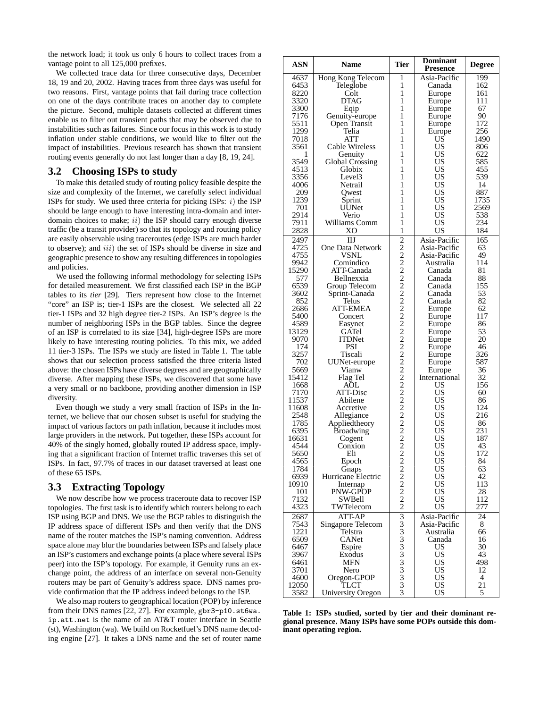the network load; it took us only 6 hours to collect traces from a vantage point to all 125,000 prefixes.

We collected trace data for three consecutive days, December 18, 19 and 20, 2002. Having traces from three days was useful for two reasons. First, vantage points that fail during trace collection on one of the days contribute traces on another day to complete the picture. Second, multiple datasets collected at different times enable us to filter out transient paths that may be observed due to instabilities such as failures. Since our focus in this work is to study inflation under stable conditions, we would like to filter out the impact of instabilities. Previous research has shown that transient routing events generally do not last longer than a day [8, 19, 24].

### **3.2 Choosing ISPs to study**

To make this detailed study of routing policy feasible despite the size and complexity of the Internet, we carefully select individual ISPs for study. We used three criteria for picking ISPs:  $i$ ) the ISP should be large enough to have interesting intra-domain and interdomain choices to make;  $ii)$  the ISP should carry enough diverse traffic (be a transit provider) so that its topology and routing policy are easily observable using traceroutes (edge ISPs are much harder to observe); and  $iii$ ) the set of ISPs should be diverse in size and geographic presence to show any resulting differences in topologies and policies.

We used the following informal methodology for selecting ISPs for detailed measurement. We first classified each ISP in the BGP tables to its *tier* [29]. Tiers represent how close to the Internet "core" an ISP is; tier-1 ISPs are the closest. We selected all 22 tier-1 ISPs and 32 high degree tier-2 ISPs. An ISP's degree is the number of neighboring ISPs in the BGP tables. Since the degree of an ISP is correlated to its size [34], high-degree ISPs are more likely to have interesting routing policies. To this mix, we added 11 tier-3 ISPs. The ISPs we study are listed in Table 1. The table shows that our selection process satisfied the three criteria listed above: the chosen ISPs have diverse degrees and are geographically diverse. After mapping these ISPs, we discovered that some have a very small or no backbone, providing another dimension in ISP diversity.

Even though we study a very small fraction of ISPs in the Internet, we believe that our chosen subset is useful for studying the impact of various factors on path inflation, because it includes most large providers in the network. Put together, these ISPs account for 40% of the singly homed, globally routed IP address space, implying that a significant fraction of Internet traffic traverses this set of ISPs. In fact, 97.7% of traces in our dataset traversed at least one of these 65 ISPs.

## **3.3 Extracting Topology**

We now describe how we process traceroute data to recover ISP topologies. The first task is to identify which routers belong to each ISP using BGP and DNS. We use the BGP tables to distinguish the IP address space of different ISPs and then verify that the DNS name of the router matches the ISP's naming convention. Address space alone may blur the boundaries between ISPs and falsely place an ISP's customers and exchange points (a place where several ISPs peer) into the ISP's topology. For example, if Genuity runs an exchange point, the address of an interface on several non-Genuity routers may be part of Genuity's address space. DNS names provide confirmation that the IP address indeed belongs to the ISP.

We also map routers to geographical location (POP) by inference from their DNS names [22, 27]. For example, gbr3-p10.st6wa. ip.att.net is the name of an AT&T router interface in Seattle (st), Washington (wa). We build on Rocketfuel's DNS name decoding engine [27]. It takes a DNS name and the set of router name

| <b>ASN</b>    | Name                             | Tier                     | Dominant<br><b>Presence</b>  | <b>Degree</b> |  |  |
|---------------|----------------------------------|--------------------------|------------------------------|---------------|--|--|
| 4637          | Hong Kong Telecom                | 1                        | Asia-Pacific                 | 199           |  |  |
| 6453          | Teleglobe                        | 1                        | Canada                       | 162           |  |  |
| 8220          | Colt                             | 1                        | Europe                       | 161           |  |  |
| 3320<br>3300  | <b>DTAG</b><br>Eqip              | 1<br>1                   | Europe<br>Europe             | 111<br>67     |  |  |
| 7176          | Genuity-europe                   | 1                        | Europe                       | 90            |  |  |
| 5511          | Open Transit                     | 1                        | Europe                       | 172           |  |  |
| 1299          | Telia                            | 1                        | Europe                       | 256           |  |  |
| 7018          | ATT                              | 1                        | US                           | 1490          |  |  |
| 3561          | <b>Cable Wireless</b>            | 1                        | <b>US</b>                    | 806           |  |  |
| 1<br>3549     | Genuity                          | 1<br>1                   | <b>US</b><br>US              | 622<br>585    |  |  |
| 4513          | <b>Global Crossing</b><br>Globix | 1                        | <b>US</b>                    | 455           |  |  |
| 3356          | Level <sub>3</sub>               | 1                        | <b>US</b>                    | 539           |  |  |
| 4006          | Netrail                          | 1                        | <b>US</b>                    | 14            |  |  |
| 209           | Qwest                            | 1                        | <b>US</b>                    | 887           |  |  |
| 1239          | Sprint                           | 1                        | <b>US</b>                    | 1735          |  |  |
| 701           | UUNet                            | 1                        | US                           | 2569          |  |  |
| 2914<br>7911  | Verio<br>Williams Comm           | 1<br>1                   | <b>US</b><br><b>US</b>       | 538<br>234    |  |  |
| 2828          | XО                               | $\mathbf{1}$             | <b>US</b>                    | 184           |  |  |
| 2497          | Ш                                | $\overline{c}$           | Asia-Pacific                 | 165           |  |  |
| 4725          | <b>One Data Network</b>          |                          | Asia-Pacific                 | 63            |  |  |
| 4755          | <b>VSNL</b>                      |                          | Asia-Pacific                 | 49            |  |  |
| 9942          | Comindico                        |                          | Australia                    | 114           |  |  |
| 15290         | ATT-Canada                       |                          | Canada                       | 81            |  |  |
| 577           | Bellnexxia                       |                          | Canada                       | 88            |  |  |
| 6539<br>3602  | Group Telecom<br>Sprint-Canada   |                          | Canada<br>Canada             | 155<br>53     |  |  |
| 852           | Telus                            |                          | Canada                       | 82            |  |  |
| 2686          | <b>ATT-EMEA</b>                  | 222222222222222222222222 | Europe                       | 62            |  |  |
| 5400          | Concert                          |                          | Europe                       | 117           |  |  |
| 4589          | Easynet                          |                          | Europe                       | 86            |  |  |
| 13129         | GATel                            |                          | Europe                       | 53            |  |  |
| 9070<br>174   | <b>ITDNet</b><br><b>PSI</b>      |                          | Europe                       | 20<br>46      |  |  |
| 3257          | Tiscali                          |                          | Europe<br>Europe             | 326           |  |  |
| 702           | UUNet-europe                     |                          | Europe                       | 587           |  |  |
| 5669          | Vianw                            |                          | Europe                       | 36            |  |  |
| 15412         | Flag Tel                         |                          | International                | 32            |  |  |
| 1668          | AOL                              |                          | US                           | 156           |  |  |
| 7170<br>11537 | <b>ATT-Disc</b><br>Abilene       |                          | US<br><b>US</b>              | 60<br>86      |  |  |
| 11608         | Accretive                        |                          | <b>US</b>                    | 124           |  |  |
| 2548          | Allegiance                       |                          | US                           | 216           |  |  |
| 1785          | Appliedtheory                    |                          | <b>US</b>                    | 86            |  |  |
| 6395          | <b>Broadwing</b>                 |                          | <b>US</b>                    | 231           |  |  |
| 16631         | Cogent                           |                          | <b>US</b>                    | 187           |  |  |
| 4544<br>5650  | Conxion<br>Eli                   | $\overline{c}$           | US<br>US                     | 43<br>172     |  |  |
| 4565          | Epoch                            |                          | US                           | 84            |  |  |
| 1784          | Gnaps                            | 222222                   | US                           | 63            |  |  |
| 6939          | Hurricane Electric               |                          | <b>US</b>                    | 42            |  |  |
| 10910         | Internap                         |                          | US                           | 113           |  |  |
| 101           | PNW-GPOP                         |                          | US                           | 28            |  |  |
| 7132          | SWBell                           |                          | <b>US</b><br><b>US</b>       | 112           |  |  |
| 4323          | TWTelecom                        |                          |                              | 277           |  |  |
| 2687<br>7543  | ATT-AP<br>Singapore Telecom      | $\overline{3}333333333$  | Asia-Pacific<br>Asia-Pacific | 24<br>8       |  |  |
| 1221          | Telstra                          |                          | Australia                    | 66            |  |  |
| 6509          | CANet                            |                          | Canada                       | 16            |  |  |
| 6467          | Espire                           |                          | <b>US</b>                    | 30            |  |  |
| 3967          | Exodus                           |                          | <b>US</b>                    | 43            |  |  |
| 6461          | MFN                              |                          | <b>US</b>                    | 498           |  |  |
| 3701<br>4600  | Nero<br>Oregon-GPOP              |                          | US<br>US                     | 12<br>4       |  |  |
| 12050         | TLCT                             |                          | <b>US</b>                    | 21            |  |  |
| 3582          | University Oregon                |                          | <b>US</b>                    | 5             |  |  |

**Table 1: ISPs studied, sorted by tier and their dominant regional presence. Many ISPs have some POPs outside this dominant operating region.**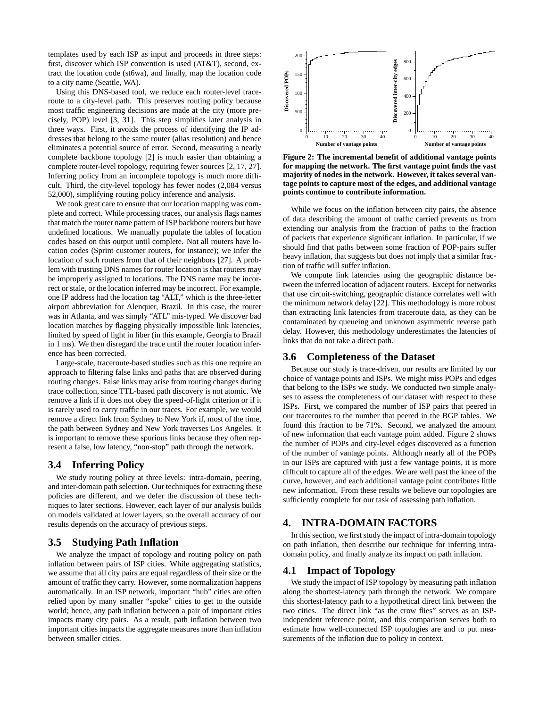templates used by each ISP as input and proceeds in three steps: first, discover which ISP convention is used (AT&T), second, extract the location code (st6wa), and finally, map the location code to a city name (Seattle, WA).

Using this DNS-based tool, we reduce each router-level traceroute to a city-level path. This preserves routing policy because most traffic engineering decisions are made at the city (more precisely, POP) level [3, 31]. This step simplifies later analysis in three ways. First, it avoids the process of identifying the IP addresses that belong to the same router (alias resolution) and hence eliminates a potential source of error. Second, measuring a nearly complete backbone topology [2] is much easier than obtaining a complete router-level topology, requiring fewer sources [2, 17, 27]. Inferring policy from an incomplete topology is much more difficult. Third, the city-level topology has fewer nodes (2,084 versus 52,000), simplifying routing policy inference and analysis.

We took great care to ensure that our location mapping was complete and correct. While processing traces, our analysis flags names that match the router name pattern of ISP backbone routers but have undefined locations. We manually populate the tables of location codes based on this output until complete. Not all routers have location codes (Sprint customer routers, for instance); we infer the location of such routers from that of their neighbors [27]. A problem with trusting DNS names for router location is that routers may be improperly assigned to locations. The DNS name may be incorrect or stale, or the location inferred may be incorrect. For example, one IP address had the location tag "ALT," which is the three-letter airport abbreviation for Alenquer, Brazil. In this case, the router was in Atlanta, and was simply "ATL" mis-typed. We discover bad location matches by flagging physically impossible link latencies, limited by speed of light in fiber (in this example, Georgia to Brazil in 1 ms). We then disregard the trace until the router location inference has been corrected.

Large-scale, traceroute-based studies such as this one require an approach to filtering false links and paths that are observed during routing changes. False links may arise from routing changes during trace collection, since TTL-based path discovery is not atomic. We remove a link if it does not obey the speed-of-light criterion or if it is rarely used to carry traffic in our traces. For example, we would remove a direct link from Sydney to New York if, most of the time, the path between Sydney and New York traverses Los Angeles. It is important to remove these spurious links because they often represent a false, low latency, "non-stop" path through the network.

#### **3.4 Inferring Policy**

We study routing policy at three levels: intra-domain, peering, and inter-domain path selection. Our techniques for extracting these policies are different, and we defer the discussion of these techniques to later sections. However, each layer of our analysis builds on models validated at lower layers, so the overall accuracy of our results depends on the accuracy of previous steps.

#### **3.5 Studying Path Inflation**

We analyze the impact of topology and routing policy on path inflation between pairs of ISP cities. While aggregating statistics, we assume that all city pairs are equal regardless of their size or the amount of traffic they carry. However, some normalization happens automatically. In an ISP network, important "hub" cities are often relied upon by many smaller "spoke" cities to get to the outside world; hence, any path inflation between a pair of important cities impacts many city pairs. As a result, path inflation between two important cities impacts the aggregate measures more than inflation between smaller cities.



**Figure 2: The incremental benefit of additional vantage points for mapping the network. The first vantage point finds the vast majority of nodes in the network. However, it takes several vantage points to capture most of the edges, and additional vantage points continue to contribute information.**

While we focus on the inflation between city pairs, the absence of data describing the amount of traffic carried prevents us from extending our analysis from the fraction of paths to the fraction of packets that experience significant inflation. In particular, if we should find that paths between some fraction of POP-pairs suffer heavy inflation, that suggests but does not imply that a similar fraction of traffic will suffer inflation.

We compute link latencies using the geographic distance between the inferred location of adjacent routers. Except for networks that use circuit-switching, geographic distance correlates well with the minimum network delay [22]. This methodology is more robust than extracting link latencies from traceroute data, as they can be contaminated by queueing and unknown asymmetric reverse path delay. However, this methodology underestimates the latencies of links that do not take a direct path.

#### **3.6 Completeness of the Dataset**

Because our study is trace-driven, our results are limited by our choice of vantage points and ISPs. We might miss POPs and edges that belong to the ISPs we study. We conducted two simple analyses to assess the completeness of our dataset with respect to these ISPs. First, we compared the number of ISP pairs that peered in our traceroutes to the number that peered in the BGP tables. We found this fraction to be 71%. Second, we analyzed the amount of new information that each vantage point added. Figure 2 shows the number of POPs and city-level edges discovered as a function of the number of vantage points. Although nearly all of the POPs in our ISPs are captured with just a few vantage points, it is more difficult to capture all of the edges. We are well past the knee of the curve, however, and each additional vantage point contributes little new information. From these results we believe our topologies are sufficiently complete for our task of assessing path inflation.

#### **4. INTRA-DOMAIN FACTORS**

In this section, we first study the impact of intra-domain topology on path inflation, then describe our technique for inferring intradomain policy, and finally analyze its impact on path inflation.

## **4.1 Impact of Topology**

We study the impact of ISP topology by measuring path inflation along the shortest-latency path through the network. We compare this shortest-latency path to a hypothetical direct link between the two cities. The direct link "as the crow flies" serves as an ISPindependent reference point, and this comparison serves both to estimate how well-connected ISP topologies are and to put measurements of the inflation due to policy in context.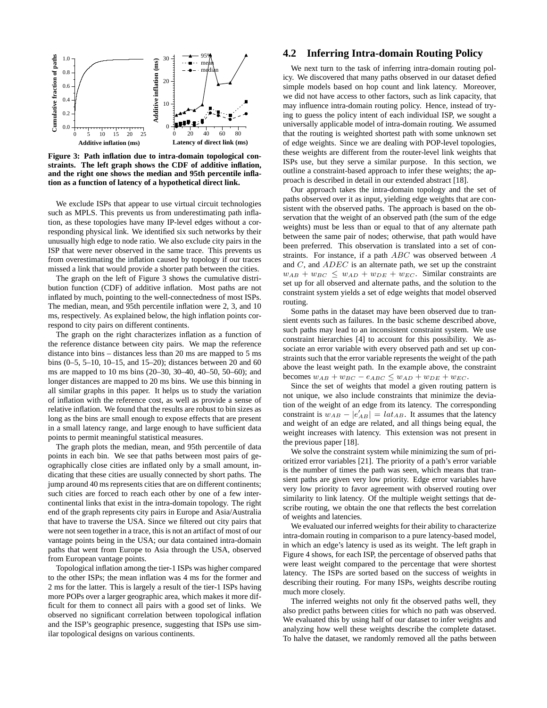

**Figure 3: Path inflation due to intra-domain topological constraints. The left graph shows the CDF of additive inflation, and the right one shows the median and 95th percentile inflation as a function of latency of a hypothetical direct link.**

We exclude ISPs that appear to use virtual circuit technologies such as MPLS. This prevents us from underestimating path inflation, as these topologies have many IP-level edges without a corresponding physical link. We identified six such networks by their unusually high edge to node ratio. We also exclude city pairs in the ISP that were never observed in the same trace. This prevents us from overestimating the inflation caused by topology if our traces missed a link that would provide a shorter path between the cities.

The graph on the left of Figure 3 shows the cumulative distribution function (CDF) of additive inflation. Most paths are not inflated by much, pointing to the well-connectedness of most ISPs. The median, mean, and 95th percentile inflation were 2, 3, and 10 ms, respectively. As explained below, the high inflation points correspond to city pairs on different continents.

The graph on the right characterizes inflation as a function of the reference distance between city pairs. We map the reference distance into bins – distances less than 20 ms are mapped to 5 ms bins (0–5, 5–10, 10–15, and 15–20); distances between 20 and 60 ms are mapped to 10 ms bins (20–30, 30–40, 40–50, 50–60); and longer distances are mapped to 20 ms bins. We use this binning in all similar graphs in this paper. It helps us to study the variation of inflation with the reference cost, as well as provide a sense of relative inflation. We found that the results are robust to bin sizes as long as the bins are small enough to expose effects that are present in a small latency range, and large enough to have sufficient data points to permit meaningful statistical measures.

The graph plots the median, mean, and 95th percentile of data points in each bin. We see that paths between most pairs of geographically close cities are inflated only by a small amount, indicating that these cities are usually connected by short paths. The jump around 40 ms represents cities that are on different continents; such cities are forced to reach each other by one of a few intercontinental links that exist in the intra-domain topology. The right end of the graph represents city pairs in Europe and Asia/Australia that have to traverse the USA. Since we filtered out city pairs that were not seen together in a trace, this is not an artifact of most of our vantage points being in the USA; our data contained intra-domain paths that went from Europe to Asia through the USA, observed from European vantage points.

Topological inflation among the tier-1 ISPs was higher compared to the other ISPs; the mean inflation was 4 ms for the former and 2 ms for the latter. This is largely a result of the tier-1 ISPs having more POPs over a larger geographic area, which makes it more difficult for them to connect all pairs with a good set of links. We observed no significant correlation between topological inflation and the ISP's geographic presence, suggesting that ISPs use similar topological designs on various continents.

# **4.2 Inferring Intra-domain Routing Policy**

We next turn to the task of inferring intra-domain routing policy. We discovered that many paths observed in our dataset defied simple models based on hop count and link latency. Moreover, we did not have access to other factors, such as link capacity, that may influence intra-domain routing policy. Hence, instead of trying to guess the policy intent of each individual ISP, we sought a universally applicable model of intra-domain routing. We assumed that the routing is weighted shortest path with some unknown set of edge weights. Since we are dealing with POP-level topologies, these weights are different from the router-level link weights that ISPs use, but they serve a similar purpose. In this section, we outline a constraint-based approach to infer these weights; the approach is described in detail in our extended abstract [18].

Our approach takes the intra-domain topology and the set of paths observed over it as input, yielding edge weights that are consistent with the observed paths. The approach is based on the observation that the weight of an observed path (the sum of the edge weights) must be less than or equal to that of any alternate path between the same pair of nodes; otherwise, that path would have been preferred. This observation is translated into a set of constraints. For instance, if a path ABC was observed between A and  $C$ , and  $ADEC$  is an alternate path, we set up the constraint  $w_{AB} + w_{BC} \leq w_{AD} + w_{DE} + w_{EC}$ . Similar constraints are set up for all observed and alternate paths, and the solution to the constraint system yields a set of edge weights that model observed routing.

Some paths in the dataset may have been observed due to transient events such as failures. In the basic scheme described above, such paths may lead to an inconsistent constraint system. We use constraint hierarchies [4] to account for this possibility. We associate an error variable with every observed path and set up constraints such that the error variable represents the weight of the path above the least weight path. In the example above, the constraint becomes  $w_{AB} + w_{BC} - e_{ABC} \leq w_{AD} + w_{DE} + w_{EC}$ .

Since the set of weights that model a given routing pattern is not unique, we also include constraints that minimize the deviation of the weight of an edge from its latency. The corresponding constraint is  $w_{AB} - |e'_{AB}| = lat_{AB}$ . It assumes that the latency and weight of an edge are related, and all things being equal, the weight increases with latency. This extension was not present in the previous paper [18].

We solve the constraint system while minimizing the sum of prioritized error variables [21]. The priority of a path's error variable is the number of times the path was seen, which means that transient paths are given very low priority. Edge error variables have very low priority to favor agreement with observed routing over similarity to link latency. Of the multiple weight settings that describe routing, we obtain the one that reflects the best correlation of weights and latencies.

We evaluated our inferred weights for their ability to characterize intra-domain routing in comparison to a pure latency-based model, in which an edge's latency is used as its weight. The left graph in Figure 4 shows, for each ISP, the percentage of observed paths that were least weight compared to the percentage that were shortest latency. The ISPs are sorted based on the success of weights in describing their routing. For many ISPs, weights describe routing much more closely.

The inferred weights not only fit the observed paths well, they also predict paths between cities for which no path was observed. We evaluated this by using half of our dataset to infer weights and analyzing how well these weights describe the complete dataset. To halve the dataset, we randomly removed all the paths between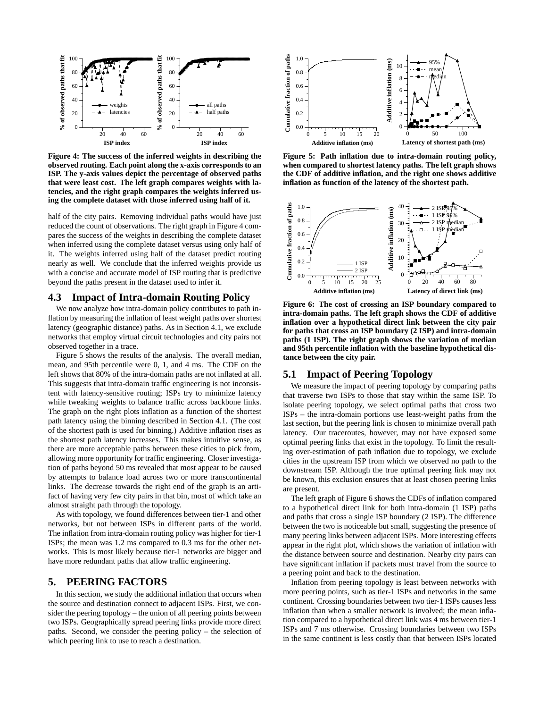

**Figure 4: The success of the inferred weights in describing the observed routing. Each point along the x-axis correspondsto an ISP. The y-axis values depict the percentage of observed paths that were least cost. The left graph compares weights with latencies, and the right graph compares the weights inferred using the complete dataset with those inferred using half of it.**

half of the city pairs. Removing individual paths would have just reduced the count of observations. The right graph in Figure 4 compares the success of the weights in describing the complete dataset when inferred using the complete dataset versus using only half of it. The weights inferred using half of the dataset predict routing nearly as well. We conclude that the inferred weights provide us with a concise and accurate model of ISP routing that is predictive beyond the paths present in the dataset used to infer it.

#### **4.3 Impact of Intra-domain Routing Policy**

We now analyze how intra-domain policy contributes to path inflation by measuring the inflation of least weight paths over shortest latency (geographic distance) paths. As in Section 4.1, we exclude networks that employ virtual circuit technologies and city pairs not observed together in a trace.

Figure 5 shows the results of the analysis. The overall median, mean, and 95th percentile were 0, 1, and 4 ms. The CDF on the left shows that 80% of the intra-domain paths are not inflated at all. This suggests that intra-domain traffic engineering is not inconsistent with latency-sensitive routing; ISPs try to minimize latency while tweaking weights to balance traffic across backbone links. The graph on the right plots inflation as a function of the shortest path latency using the binning described in Section 4.1. (The cost of the shortest path is used for binning.) Additive inflation rises as the shortest path latency increases. This makes intuitive sense, as there are more acceptable paths between these cities to pick from, allowing more opportunity for traffic engineering. Closer investigation of paths beyond 50 ms revealed that most appear to be caused by attempts to balance load across two or more transcontinental links. The decrease towards the right end of the graph is an artifact of having very few city pairs in that bin, most of which take an almost straight path through the topology.

As with topology, we found differences between tier-1 and other networks, but not between ISPs in different parts of the world. The inflation from intra-domain routing policy was higher for tier-1 ISPs; the mean was 1.2 ms compared to 0.3 ms for the other networks. This is most likely because tier-1 networks are bigger and have more redundant paths that allow traffic engineering.

## **5. PEERING FACTORS**

In this section, we study the additional inflation that occurs when the source and destination connect to adjacent ISPs. First, we consider the peering topology – the union of all peering points between two ISPs. Geographically spread peering links provide more direct paths. Second, we consider the peering policy – the selection of which peering link to use to reach a destination.



**Figure 5: Path inflation due to intra-domain routing policy, when compared to shortest latency paths. The left graph shows the CDF of additive inflation, and the right one shows additive inflation as function of the latency of the shortest path.**



**Figure 6: The cost of crossing an ISP boundary compared to intra-domain paths. The left graph shows the CDF of additive inflation over a hypothetical direct link between the city pair for paths that cross an ISP boundary (2 ISP) and intra-domain paths (1 ISP). The right graph shows the variation of median and 95th percentile inflation with the baseline hypothetical distance between the city pair.**

#### **5.1 Impact of Peering Topology**

We measure the impact of peering topology by comparing paths that traverse two ISPs to those that stay within the same ISP. To isolate peering topology, we select optimal paths that cross two ISPs – the intra-domain portions use least-weight paths from the last section, but the peering link is chosen to minimize overall path latency. Our traceroutes, however, may not have exposed some optimal peering links that exist in the topology. To limit the resulting over-estimation of path inflation due to topology, we exclude cities in the upstream ISP from which we observed no path to the downstream ISP. Although the true optimal peering link may not be known, this exclusion ensures that at least chosen peering links are present.

The left graph of Figure 6 shows the CDFs of inflation compared to a hypothetical direct link for both intra-domain (1 ISP) paths and paths that cross a single ISP boundary (2 ISP). The difference between the two is noticeable but small, suggesting the presence of many peering links between adjacent ISPs. More interesting effects appear in the right plot, which shows the variation of inflation with the distance between source and destination. Nearby city pairs can have significant inflation if packets must travel from the source to a peering point and back to the destination.

Inflation from peering topology is least between networks with more peering points, such as tier-1 ISPs and networks in the same continent. Crossing boundaries between two tier-1 ISPs causes less inflation than when a smaller network is involved; the mean inflation compared to a hypothetical direct link was 4 ms between tier-1 ISPs and 7 ms otherwise. Crossing boundaries between two ISPs in the same continent is less costly than that between ISPs located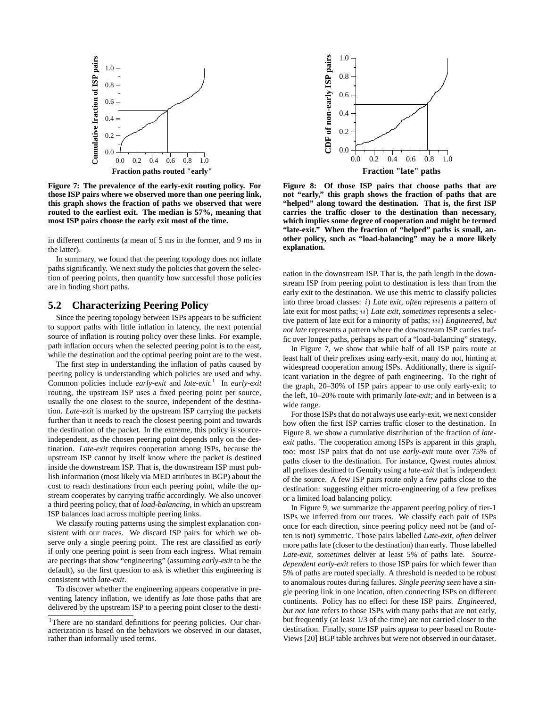

**Figure 7: The prevalence of the early-exit routing policy. For those ISP pairs where we observed more than one peering link, this graph shows the fraction of paths we observed that were routed to the earliest exit. The median is 57%, meaning that most ISP pairs choose the early exit most of the time.**

in different continents (a mean of 5 ms in the former, and 9 ms in the latter).

In summary, we found that the peering topology does not inflate paths significantly. We next study the policies that govern the selection of peering points, then quantify how successful those policies are in finding short paths.

#### **5.2 Characterizing Peering Policy**

Since the peering topology between ISPs appears to be sufficient to support paths with little inflation in latency, the next potential source of inflation is routing policy over these links. For example, path inflation occurs when the selected peering point is to the east, while the destination and the optimal peering point are to the west.

The first step in understanding the inflation of paths caused by peering policy is understanding which policies are used and why. Common policies include *early-exit* and *late-exit*. 1 In *early-exit* routing, the upstream ISP uses a fixed peering point per source, usually the one closest to the source, independent of the destination. *Late-exit* is marked by the upstream ISP carrying the packets further than it needs to reach the closest peering point and towards the destination of the packet. In the extreme, this policy is sourceindependent, as the chosen peering point depends only on the destination. *Late-exit* requires cooperation among ISPs, because the upstream ISP cannot by itself know where the packet is destined inside the downstream ISP. That is, the downstream ISP must publish information (most likely via MED attributes in BGP) about the cost to reach destinations from each peering point, while the upstream cooperates by carrying traffic accordingly. We also uncover a third peering policy, that of *load-balancing*, in which an upstream ISP balances load across multiple peering links.

We classify routing patterns using the simplest explanation consistent with our traces. We discard ISP pairs for which we observe only a single peering point. The rest are classified as *early* if only one peering point is seen from each ingress. What remain are peerings that show "engineering" (assuming *early-exit* to be the default), so the first question to ask is whether this engineering is consistent with *late-exit*.

To discover whether the engineering appears cooperative in preventing latency inflation, we identify as *late* those paths that are delivered by the upstream ISP to a peering point closer to the desti-



**Figure 8: Of those ISP pairs that choose paths that are not "early," this graph shows the fraction of paths that are "helped" along toward the destination. That is, the first ISP carries the traffic closer to the destination than necessary, which implies some degree of cooperation and might be termed "late-exit." When the fraction of "helped" paths is small, another policy, such as "load-balancing" may be a more likely explanation.**

nation in the downstream ISP. That is, the path length in the downstream ISP from peering point to destination is less than from the early exit to the destination. We use this metric to classify policies into three broad classes: i) *Late exit, often* represents a pattern of late exit for most paths; ii) *Late exit, sometimes* represents a selective pattern of late exit for a minority of paths; iii) *Engineered, but not late* represents a pattern where the downstream ISP carries traffic over longer paths, perhaps as part of a "load-balancing" strategy.

In Figure 7, we show that while half of all ISP pairs route at least half of their prefixes using early-exit, many do not, hinting at widespread cooperation among ISPs. Additionally, there is significant variation in the degree of path engineering. To the right of the graph, 20–30% of ISP pairs appear to use only early-exit; to the left, 10–20% route with primarily *late-exit;* and in between is a wide range.

For those ISPs that do not always use early-exit, we next consider how often the first ISP carries traffic closer to the destination. In Figure 8, we show a cumulative distribution of the fraction of *lateexit* paths. The cooperation among ISPs is apparent in this graph, too: most ISP pairs that do not use *early-exit* route over 75% of paths closer to the destination. For instance, Qwest routes almost all prefixes destined to Genuity using a *late-exit* that is independent of the source. A few ISP pairs route only a few paths close to the destination: suggesting either micro-engineering of a few prefixes or a limited load balancing policy.

In Figure 9, we summarize the apparent peering policy of tier-1 ISPs we inferred from our traces. We classify each pair of ISPs once for each direction, since peering policy need not be (and often is not) symmetric. Those pairs labelled *Late-exit, often* deliver more paths late (closer to the destination) than early. Those labelled *Late-exit, sometimes* deliver at least 5% of paths late. *Sourcedependent early-exit* refers to those ISP pairs for which fewer than 5% of paths are routed specially. A threshold is needed to be robust to anomalous routes during failures. *Single peering seen* have a single peering link in one location, often connecting ISPs on different continents. Policy has no effect for these ISP pairs. *Engineered, but not late* refers to those ISPs with many paths that are not early, but frequently (at least 1/3 of the time) are not carried closer to the destination. Finally, some ISP pairs appear to peer based on Route-Views [20] BGP table archives but were not observed in our dataset.

<sup>&</sup>lt;sup>1</sup>There are no standard definitions for peering policies. Our characterization is based on the behaviors we observed in our dataset, rather than informally used terms.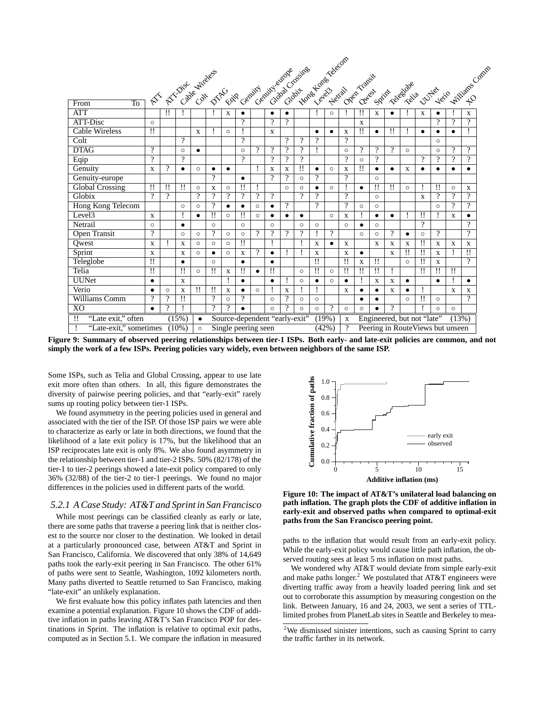|                                                                        |                          |                |              |                       |                                                      |               |                |                          |                    |                    |                    |                |                                                                                               |                          |             |              |              |           |              |                |                    | AT ATO 300 Cot OF Exite Centre of the claim of control design and reaction of Transist Section 2011 and 411/2016 |
|------------------------------------------------------------------------|--------------------------|----------------|--------------|-----------------------|------------------------------------------------------|---------------|----------------|--------------------------|--------------------|--------------------|--------------------|----------------|-----------------------------------------------------------------------------------------------|--------------------------|-------------|--------------|--------------|-----------|--------------|----------------|--------------------|------------------------------------------------------------------------------------------------------------------|
|                                                                        |                          |                |              |                       |                                                      |               |                |                          |                    |                    |                    |                |                                                                                               |                          |             |              |              |           |              |                |                    |                                                                                                                  |
| To<br>From                                                             |                          |                |              |                       |                                                      |               |                |                          |                    |                    |                    |                |                                                                                               |                          |             |              |              |           |              |                |                    |                                                                                                                  |
| <b>ATT</b>                                                             |                          | $\mathbf{H}$   |              |                       |                                                      | X             | ٠              |                          | ٠                  |                    |                    |                | $\circ$                                                                                       |                          | !!          | $\mathbf{x}$ | ٠            |           | $\mathbf{X}$ | ٠              |                    | $\mathbf X$                                                                                                      |
| ATT-Disc                                                               | $\circ$                  |                |              |                       |                                                      |               | $\gamma$       |                          | $\gamma$           | $\gamma$           |                    |                |                                                                                               |                          | $\mathbf X$ |              |              |           |              | $\gamma$       | $\gamma$           | ?                                                                                                                |
| <b>Cable Wireless</b>                                                  | $\mathbf{H}$             |                |              | X                     |                                                      | $\circ$       |                |                          | $\mathbf X$        |                    |                    | $\bullet$      | $\bullet$                                                                                     | X                        | !!          | $\bullet$    | $\mathbf{1}$ |           | $\bullet$    | $\bullet$      | $\bullet$          | Ţ                                                                                                                |
| Colt                                                                   |                          |                | $\gamma$     |                       |                                                      |               | $\gamma$       |                          |                    | $\gamma$           | ?                  | $\mathcal{P}$  |                                                                                               | $\gamma$                 |             |              |              |           |              | $\circ$        |                    |                                                                                                                  |
| <b>DTAG</b>                                                            | $\overline{?}$           |                | $\circ$      | $\bullet$             |                                                      |               | $\circ$        | $\gamma$                 | $\overline{\cdot}$ | $\gamma$           | $\overline{\cdot}$ |                |                                                                                               | $\circ$                  | ?           | $\gamma$     | $\gamma$     | $\circ$   |              | $\circ$        | $\overline{\cdot}$ | $\overline{\cdot}$                                                                                               |
| Eqip                                                                   | $\overline{\mathcal{L}}$ |                | $\gamma$     |                       |                                                      |               | $\gamma$       |                          | $\gamma$           | $\gamma$           | ?                  |                |                                                                                               | ?                        | $\circ$     | $\gamma$     |              |           | $\gamma$     | $\gamma$       | $\gamma$           | $\overline{\mathcal{C}}$                                                                                         |
| Genuity                                                                | X                        | ?              | $\bullet$    | $\circ$               | $\bullet$                                            | $\bullet$     |                |                          | X                  | X                  | !!                 | $\bullet$      | $\circ$                                                                                       | $\mathbf{x}$             | !!          | $\bullet$    | $\bullet$    | X         | $\bullet$    | $\bullet$      | $\bullet$          | $\bullet$                                                                                                        |
| Genuity-europe                                                         |                          |                |              |                       | $\overline{\mathcal{L}}$                             |               | $\bullet$      |                          | $\gamma$           | $\overline{\cdot}$ | $\circ$            | $\overline{?}$ |                                                                                               | $\overline{\mathcal{L}}$ |             | $\circ$      |              |           |              |                |                    |                                                                                                                  |
| Global Crossing                                                        | !!                       | !!             | $\mathbf{H}$ | $\circ$               | X                                                    | $\circ$       | $\mathbf{H}$   | -                        |                    | $\circ$            | $\circ$            | $\bullet$      | $\circ$                                                                                       |                          | $\bullet$   | !!           | $\mathbf{H}$ | $\circ$   |              | $\mathbf{H}$   | $\circ$            | X                                                                                                                |
| Globix                                                                 | $\gamma$                 | $\overline{?}$ |              | $\boldsymbol{\gamma}$ | ?                                                    | $\gamma$      | $\overline{?}$ | ?                        | $\gamma$           |                    | $\gamma$           | $\gamma$       |                                                                                               | $\overline{\mathcal{L}}$ |             | $\circ$      |              |           | $\mathbf{X}$ | $\gamma$       | $\gamma$           | $\overline{?}$                                                                                                   |
| Hong Kong Telecom                                                      |                          |                | $\circ$      | $\circ$               | ?                                                    | $\bullet$     | $\bullet$      | $\circ$                  | $\bullet$          | $\overline{?}$     |                    | $\gamma$       |                                                                                               | $\overline{\mathcal{C}}$ | $\circ$     | $\circ$      |              |           |              | $\circ$        | ?                  | $\overline{?}$                                                                                                   |
| Level <sub>3</sub>                                                     | $\mathbf x$              |                | -1           | $\bullet$             | Ħ                                                    | $\circ$       | !!             | $\circ$                  | $\bullet$          | $\bullet$          | $\bullet$          |                | $\circ$                                                                                       | X                        |             | $\bullet$    | $\bullet$    |           | !!           | Ţ              | X                  | $\bullet$                                                                                                        |
| Netrail                                                                | $\circ$                  |                | $\bullet$    |                       | $\circ$                                              |               | $\circ$        |                          | $\circ$            |                    | $\circ$            | $\circ$        |                                                                                               | $\circ$                  | $\bullet$   | $\circ$      |              |           | $\gamma$     |                |                    | $\overline{?}$                                                                                                   |
| <b>Open Transit</b>                                                    | $\overline{\mathcal{L}}$ |                | $\circ$      | $\circ$               | $\overline{?}$                                       | $\circ$       | $\circ$        | ?                        | $\gamma$           | $\gamma$           | $\overline{?}$     |                | $\gamma$                                                                                      |                          | $\circ$     | $\circ$      | $\gamma$     | $\bullet$ | $\circ$      | $\overline{?}$ |                    | $\overline{?}$                                                                                                   |
| Qwest                                                                  | X                        |                | X            | $\circ$               | $\circ$                                              | $\circ$       | !!             |                          | Ţ                  |                    | -                  | $\mathbf{X}$   | $\bullet$                                                                                     | X                        |             | X            | X            | X         | !!           | $\mathbf X$    | $\mathbf{X}$       | $\mathbf{X}$                                                                                                     |
| Sprint                                                                 | X                        |                | X            | $\circ$               | $\bullet$                                            | $\circ$       | $\mathbf x$    | $\overline{\mathcal{C}}$ | $\bullet$          |                    |                    | $\mathbf X$    |                                                                                               | $\mathbf{x}$             | ٠           |              | X            | !!        | !!           | X              |                    | !!                                                                                                               |
| Teleglobe                                                              | !!                       |                | $\bullet$    |                       | $\circ$                                              |               | $\bullet$      |                          | $\bullet$          |                    |                    | !!             |                                                                                               | $\mathbf{1}$             | X           | $\mathbf{H}$ |              | $\circ$   | !!           | $\mathbf X$    |                    | $\overline{?}$                                                                                                   |
| Telia                                                                  | $\mathbf{1}$             |                | !!           | $\circ$               | !!                                                   | X             | !!             | $\bullet$                | $\mathbf{H}$       |                    | $\circ$            | !!             | $\circ$                                                                                       | $\mathbf{1}$             | !!          | !!           |              |           | !!           | !!             | !!                 |                                                                                                                  |
| <b>UUNet</b>                                                           | $\bullet$                |                | X            |                       |                                                      |               | $\bullet$      |                          | $\bullet$          |                    | $\circ$            | $\bullet$      | $\circ$                                                                                       | $\bullet$                |             | X            | X            | ٠         |              | $\bullet$      |                    | $\bullet$                                                                                                        |
| Verio                                                                  | $\bullet$                | $\circ$        | $\mathbf x$  | $\mathbf{H}$          | Ħ.                                                   | $\mathbf x$   | $\bullet$      | $\circ$                  | Ţ                  | X                  |                    | 1              |                                                                                               | $\mathbf x$              | $\bullet$   | $\bullet$    | X            | ٠         |              |                | X                  | $\mathbf X$                                                                                                      |
| Williams Comm                                                          | $\overline{\cdot}$       | $\Omega$       | $\mathbf{1}$ |                       | $\overline{\cdot}$                                   | $\circ$       | $\gamma$       |                          | $\circ$            | $\Omega$           | $\circ$            | $\circ$        |                                                                                               |                          | $\bullet$   | $\bullet$    |              | $\circ$   | $^{\prime}$  | $\circ$        |                    | $\gamma$                                                                                                         |
| X <sub>0</sub>                                                         | $\bullet$                | ?              |              |                       | $\overline{\mathcal{C}}$                             | $\mathcal{D}$ | $\bullet$      |                          | $\circ$            | $\gamma$           | $\circ$            | $\circ$        | $\mathcal{P}$                                                                                 | $\circ$                  | $\circ$     | $\bullet$    | $\gamma$     |           |              | $\Omega$       | $\circ$            |                                                                                                                  |
| "Late exit," often<br>(15%)<br>Ħ<br>"Late-exit," sometimes<br>$(10\%)$ |                          |                |              | $\bullet$<br>$\Omega$ | Source-dependent "early-exit"<br>Single peering seen |               |                |                          |                    |                    |                    | (19%)<br>(42%) | Engineered, but not "late"<br>(13%)<br>X<br>$\mathcal{P}$<br>Peering in RouteViews but unseen |                          |             |              |              |           |              |                |                    |                                                                                                                  |

Figure 9: Summary of observed peering relationships between tier-1 ISPs. Both early- and late-exit policies are common, and not simply the work of a few ISPs. Peering policies vary widely, even between neighbors of the same ISP.

Some ISPs, such as Telia and Global Crossing, appear to use late exit more often than others. In all, this figure demonstrates the diversity of pairwise peering policies, and that "early-exit" rarely sums up routing policy between tier-1 ISPs.

We found asymmetry in the peering policies used in general and associated with the tier of the ISP. Of those ISP pairs we were able to characterize as early or late in both directions, we found that the likelihood of a late exit policy is 17%, but the likelihood that an ISP reciprocates late exit is only 8%. We also found asymmetry in the relationship between tier-1 and tier-2 ISPs. 50% (82/178) of the tier-1 to tier-2 peerings showed a late-exit policy compared to only 36% (32/88) of the tier-2 to tier-1 peerings. We found no major differences in the policies used in different parts of the world.

#### *5.2.1 ACase Study: AT&T and Sprint in San Francisco*

While most peerings can be classified cleanly as early or late, there are some paths that traverse a peering link that is neither closest to the source nor closer to the destination. We looked in detail at a particularly pronounced case, between AT&T and Sprint in San Francisco, California. We discovered that only 38% of 14,649 paths took the early-exit peering in San Francisco. The other 61% of paths were sent to Seattle, Washington, 1092 kilometers north. Many paths diverted to Seattle returned to San Francisco, making "late-exit" an unlikely explanation.

We first evaluate how this policy inflates path latencies and then examine a potential explanation. Figure 10 shows the CDF of additive inflation in paths leaving AT&T's San Francisco POP for destinations in Sprint. The inflation is relative to optimal exit paths, computed as in Section 5.1. We compare the inflation in measured



**Figure 10: The impact of AT&T's unilateral load balancing on path inflation. The graph plots the CDF of additive inflation in early-exit and observed paths when compared to optimal-exit paths from the San Francisco peering point.**

paths to the inflation that would result from an early-exit policy. While the early-exit policy would cause little path inflation, the observed routing sees at least 5 ms inflation on most paths.

We wondered why AT&T would deviate from simple early-exit and make paths longer. <sup>2</sup> We postulated that AT&T engineers were diverting traffic away from a heavily loaded peering link and set out to corroborate this assumption by measuring congestion on the link. Between January, 16 and 24, 2003, we sent a series of TTLlimited probes from PlanetLab sites in Seattle and Berkeley to mea-

<sup>&</sup>lt;sup>2</sup>We dismissed sinister intentions, such as causing Sprint to carry the traffic farther in its network.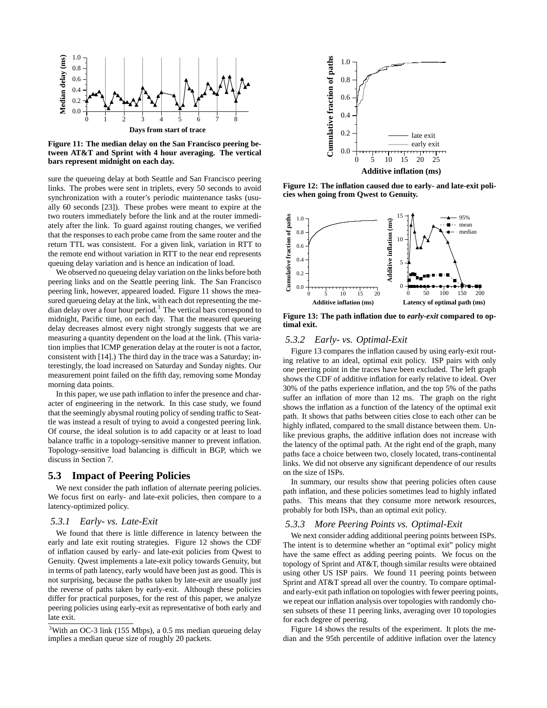

**Figure 11: The median delay on the San Francisco peering between AT&T and Sprint with 4 hour averaging. The vertical bars represent midnight on each day.**

sure the queueing delay at both Seattle and San Francisco peering links. The probes were sent in triplets, every 50 seconds to avoid synchronization with a router's periodic maintenance tasks (usually 60 seconds [23]). These probes were meant to expire at the two routers immediately before the link and at the router immediately after the link. To guard against routing changes, we verified that the responses to each probe came from the same router and the return TTL was consistent. For a given link, variation in RTT to the remote end without variation in RTT to the near end represents queuing delay variation and is hence an indication of load.

We observed no queueing delay variation on the links before both peering links and on the Seattle peering link. The San Francisco peering link, however, appeared loaded. Figure 11 shows the measured queueing delay at the link, with each dot representing the median delay over a four hour period.<sup>3</sup> The vertical bars correspond to midnight, Pacific time, on each day. That the measured queueing delay decreases almost every night strongly suggests that we are measuring a quantity dependent on the load at the link. (This variation implies that ICMP generation delay at the router is not a factor, consistent with [14].) The third day in the trace was a Saturday; interestingly, the load increased on Saturday and Sunday nights. Our measurement point failed on the fifth day, removing some Monday morning data points.

In this paper, we use path inflation to infer the presence and character of engineering in the network. In this case study, we found that the seemingly abysmal routing policy of sending traffic to Seattle was instead a result of trying to avoid a congested peering link. Of course, the ideal solution is to add capacity or at least to load balance traffic in a topology-sensitive manner to prevent inflation. Topology-sensitive load balancing is difficult in BGP, which we discuss in Section 7.

#### **5.3 Impact of Peering Policies**

We next consider the path inflation of alternate peering policies. We focus first on early- and late-exit policies, then compare to a latency-optimized policy.

#### *5.3.1 Early- vs. Late-Exit*

We found that there is little difference in latency between the early and late exit routing strategies. Figure 12 shows the CDF of inflation caused by early- and late-exit policies from Qwest to Genuity. Qwest implements a late-exit policy towards Genuity, but in terms of path latency, early would have been just as good. This is not surprising, because the paths taken by late-exit are usually just the reverse of paths taken by early-exit. Although these policies differ for practical purposes, for the rest of this paper, we analyze peering policies using early-exit as representative of both early and late exit.



**Figure 12: The inflation caused due to early- and late-exit policies when going from Qwest to Genuity.**



**Figure 13: The path inflation due to** *early-exit* **compared to optimal exit.**

#### *5.3.2 Early- vs. Optimal-Exit*

Figure 13 compares the inflation caused by using early-exit routing relative to an ideal, optimal exit policy. ISP pairs with only one peering point in the traces have been excluded. The left graph shows the CDF of additive inflation for early relative to ideal. Over 30% of the paths experience inflation, and the top 5% of the paths suffer an inflation of more than 12 ms. The graph on the right shows the inflation as a function of the latency of the optimal exit path. It shows that paths between cities close to each other can be highly inflated, compared to the small distance between them. Unlike previous graphs, the additive inflation does not increase with the latency of the optimal path. At the right end of the graph, many paths face a choice between two, closely located, trans-continental links. We did not observe any significant dependence of our results on the size of ISPs.

In summary, our results show that peering policies often cause path inflation, and these policies sometimes lead to highly inflated paths. This means that they consume more network resources, probably for both ISPs, than an optimal exit policy.

#### *5.3.3 More Peering Points vs. Optimal-Exit*

We next consider adding additional peering points between ISPs. The intent is to determine whether an "optimal exit" policy might have the same effect as adding peering points. We focus on the topology of Sprint and AT&T, though similar results were obtained using other US ISP pairs. We found 11 peering points between Sprint and AT&T spread all over the country. To compare optimaland early-exit path inflation on topologies with fewer peering points, we repeat our inflation analysis over topologies with randomly chosen subsets of these 11 peering links, averaging over 10 topologies for each degree of peering.

Figure 14 shows the results of the experiment. It plots the median and the 95th percentile of additive inflation over the latency

 $3$ With an OC-3 link (155 Mbps), a 0.5 ms median queueing delay implies a median queue size of roughly 20 packets.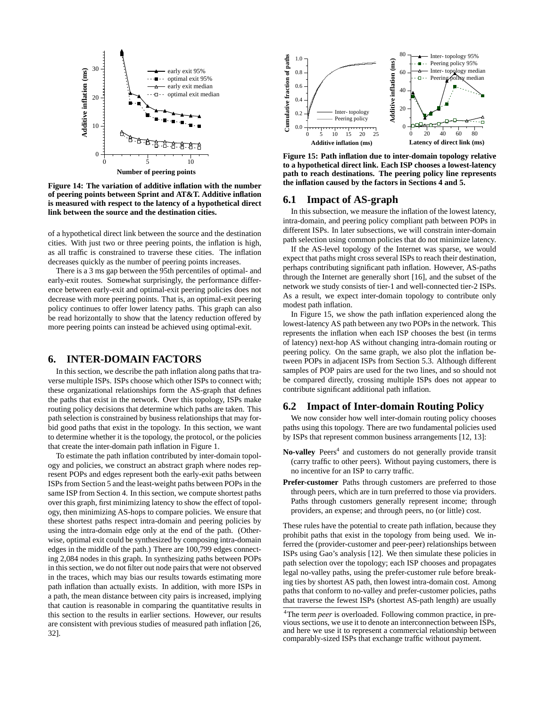

**Figure 14: The variation of additive inflation with the number of peering points between Sprint and AT&T. Additive inflation is measured with respect to the latency of a hypothetical direct link between the source and the destination cities.**

of a hypothetical direct link between the source and the destination cities. With just two or three peering points, the inflation is high, as all traffic is constrained to traverse these cities. The inflation decreases quickly as the number of peering points increases.

There is a 3 ms gap between the 95th percentiles of optimal- and early-exit routes. Somewhat surprisingly, the performance difference between early-exit and optimal-exit peering policies does not decrease with more peering points. That is, an optimal-exit peering policy continues to offer lower latency paths. This graph can also be read horizontally to show that the latency reduction offered by more peering points can instead be achieved using optimal-exit.

#### **6. INTER-DOMAIN FACTORS**

In this section, we describe the path inflation along paths that traverse multiple ISPs. ISPs choose which other ISPs to connect with; these organizational relationships form the AS-graph that defines the paths that exist in the network. Over this topology, ISPs make routing policy decisions that determine which paths are taken. This path selection is constrained by business relationships that may forbid good paths that exist in the topology. In this section, we want to determine whether it is the topology, the protocol, or the policies that create the inter-domain path inflation in Figure 1.

To estimate the path inflation contributed by inter-domain topology and policies, we construct an abstract graph where nodes represent POPs and edges represent both the early-exit paths between ISPs from Section 5 and the least-weight paths between POPs in the same ISP from Section 4. In this section, we compute shortest paths over this graph, first minimizing latency to show the effect of topology, then minimizing AS-hops to compare policies. We ensure that these shortest paths respect intra-domain and peering policies by using the intra-domain edge only at the end of the path. (Otherwise, optimal exit could be synthesized by composing intra-domain edges in the middle of the path.) There are 100,799 edges connecting 2,084 nodes in this graph. In synthesizing paths between POPs in this section, we do not filter out node pairs that were not observed in the traces, which may bias our results towards estimating more path inflation than actually exists. In addition, with more ISPs in a path, the mean distance between city pairs is increased, implying that caution is reasonable in comparing the quantitative results in this section to the results in earlier sections. However, our results are consistent with previous studies of measured path inflation [26, 32].



**Figure 15: Path inflation due to inter-domain topology relative to a hypothetical direct link. Each ISP chooses a lowest-latency path to reach destinations. The peering policy line represents the inflation caused by the factors in Sections 4 and 5.**

#### **6.1 Impact of AS-graph**

In this subsection, we measure the inflation of the lowest latency, intra-domain, and peering policy compliant path between POPs in different ISPs. In later subsections, we will constrain inter-domain path selection using common policies that do not minimize latency.

If the AS-level topology of the Internet was sparse, we would expect that paths might cross several ISPs to reach their destination, perhaps contributing significant path inflation. However, AS-paths through the Internet are generally short [16], and the subset of the network we study consists of tier-1 and well-connected tier-2 ISPs. As a result, we expect inter-domain topology to contribute only modest path inflation.

In Figure 15, we show the path inflation experienced along the lowest-latency AS path between any two POPs in the network. This represents the inflation when each ISP chooses the best (in terms of latency) next-hop AS without changing intra-domain routing or peering policy. On the same graph, we also plot the inflation between POPs in adjacent ISPs from Section 5.3. Although different samples of POP pairs are used for the two lines, and so should not be compared directly, crossing multiple ISPs does not appear to contribute significant additional path inflation.

#### **6.2 Impact of Inter-domain Routing Policy**

We now consider how well inter-domain routing policy chooses paths using this topology. There are two fundamental policies used by ISPs that represent common business arrangements [12, 13]:

- No-valley Peers<sup>4</sup> and customers do not generally provide transit (carry traffic to other peers). Without paying customers, there is no incentive for an ISP to carry traffic.
- **Prefer-customer** Paths through customers are preferred to those through peers, which are in turn preferred to those via providers. Paths through customers generally represent income; through providers, an expense; and through peers, no (or little) cost.

These rules have the potential to create path inflation, because they prohibit paths that exist in the topology from being used. We inferred the (provider-customer and peer-peer) relationships between ISPs using Gao's analysis [12]. We then simulate these policies in path selection over the topology; each ISP chooses and propagates legal no-valley paths, using the prefer-customer rule before breaking ties by shortest AS path, then lowest intra-domain cost. Among paths that conform to no-valley and prefer-customer policies, paths that traverse the fewest ISPs (shortest AS-path length) are usually

<sup>&</sup>lt;sup>4</sup>The term *peer* is overloaded. Following common practice, in previous sections, we use it to denote an interconnection between ISPs, and here we use it to represent a commercial relationship between comparably-sized ISPs that exchange traffic without payment.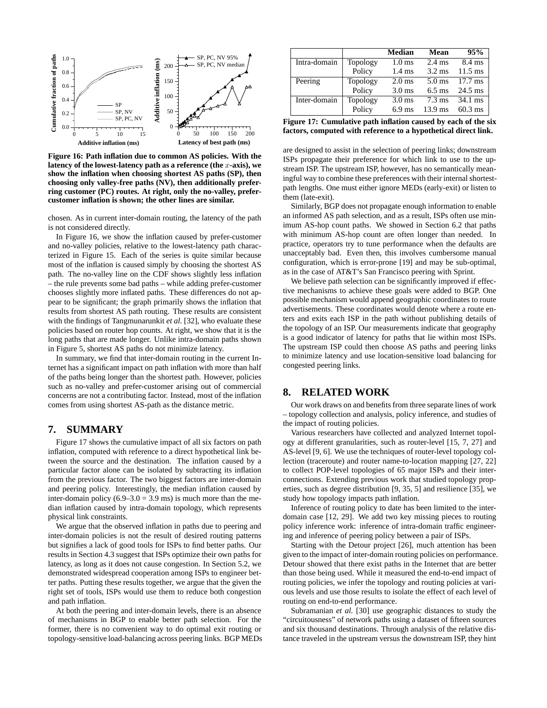

**Figure 16: Path inflation due to common AS policies. With the latency of the lowest-latency path as a reference (the** x**-axis), we show the inflation when choosing shortest AS paths (SP), then choosing only valley-free paths (NV), then additionally preferring customer (PC) routes. At right, only the no-valley, prefercustomer inflation is shown; the other lines are similar.**

chosen. As in current inter-domain routing, the latency of the path is not considered directly.

In Figure 16, we show the inflation caused by prefer-customer and no-valley policies, relative to the lowest-latency path characterized in Figure 15. Each of the series is quite similar because most of the inflation is caused simply by choosing the shortest AS path. The no-valley line on the CDF shows slightly less inflation – the rule prevents some bad paths – while adding prefer-customer chooses slightly more inflated paths. These differences do not appear to be significant; the graph primarily shows the inflation that results from shortest AS path routing. These results are consistent with the findings of Tangmunarunkit *et al.* [32], who evaluate these policies based on router hop counts. At right, we show that it is the long paths that are made longer. Unlike intra-domain paths shown in Figure 5, shortest AS paths do not minimize latency.

In summary, we find that inter-domain routing in the current Internet has a significant impact on path inflation with more than half of the paths being longer than the shortest path. However, policies such as no-valley and prefer-customer arising out of commercial concerns are not a contributing factor. Instead, most of the inflation comes from using shortest AS-path as the distance metric.

#### **7. SUMMARY**

Figure 17 shows the cumulative impact of all six factors on path inflation, computed with reference to a direct hypothetical link between the source and the destination. The inflation caused by a particular factor alone can be isolated by subtracting its inflation from the previous factor. The two biggest factors are inter-domain and peering policy. Interestingly, the median inflation caused by inter-domain policy  $(6.9-3.0 = 3.9 \text{ ms})$  is much more than the median inflation caused by intra-domain topology, which represents physical link constraints.

We argue that the observed inflation in paths due to peering and inter-domain policies is not the result of desired routing patterns but signifies a lack of good tools for ISPs to find better paths. Our results in Section 4.3 suggest that ISPs optimize their own paths for latency, as long as it does not cause congestion. In Section 5.2, we demonstrated widespread cooperation among ISPs to engineer better paths. Putting these results together, we argue that the given the right set of tools, ISPs would use them to reduce both congestion and path inflation.

At both the peering and inter-domain levels, there is an absence of mechanisms in BGP to enable better path selection. For the former, there is no convenient way to do optimal exit routing or topology-sensitive load-balancing across peering links. BGP MEDs

|              |                 | <b>Median</b>    | Mean              | 95%               |
|--------------|-----------------|------------------|-------------------|-------------------|
| Intra-domain | Topology        | $1.0 \text{ ms}$ | $2.4 \text{ ms}$  | $8.4 \text{ ms}$  |
|              | Policy          | $1.4 \text{ ms}$ | $3.2 \text{ ms}$  | $11.5 \text{ ms}$ |
| Peering      | <b>Topology</b> | $2.0 \text{ ms}$ | $5.0 \text{ ms}$  | $17.7 \text{ ms}$ |
|              | Policy          | $3.0$ ms         | $6.5 \text{ ms}$  | $24.5$ ms         |
| Inter-domain | Topology        | $3.0$ ms         | $7.3 \text{ ms}$  | 34.1 ms           |
|              | Policy          | $6.9 \text{ ms}$ | $13.9 \text{ ms}$ | $60.3$ ms         |

**Figure 17: Cumulative path inflation caused by each of the six factors, computed with reference to a hypothetical direct link.**

are designed to assist in the selection of peering links; downstream ISPs propagate their preference for which link to use to the upstream ISP. The upstream ISP, however, has no semantically meaningful way to combine these preferences with their internal shortestpath lengths. One must either ignore MEDs (early-exit) or listen to them (late-exit).

Similarly, BGP does not propagate enough information to enable an informed AS path selection, and as a result, ISPs often use minimum AS-hop count paths. We showed in Section 6.2 that paths with minimum AS-hop count are often longer than needed. In practice, operators try to tune performance when the defaults are unacceptably bad. Even then, this involves cumbersome manual configuration, which is error-prone [19] and may be sub-optimal, as in the case of AT&T's San Francisco peering with Sprint.

We believe path selection can be significantly improved if effective mechanisms to achieve these goals were added to BGP. One possible mechanism would append geographic coordinates to route advertisements. These coordinates would denote where a route enters and exits each ISP in the path without publishing details of the topology of an ISP. Our measurements indicate that geography is a good indicator of latency for paths that lie within most ISPs. The upstream ISP could then choose AS paths and peering links to minimize latency and use location-sensitive load balancing for congested peering links.

#### **8. RELATED WORK**

Our work draws on and benefits from three separate lines of work – topology collection and analysis, policy inference, and studies of the impact of routing policies.

Various researchers have collected and analyzed Internet topology at different granularities, such as router-level [15, 7, 27] and AS-level [9, 6]. We use the techniques of router-level topology collection (traceroute) and router name-to-location mapping [27, 22] to collect POP-level topologies of 65 major ISPs and their interconnections. Extending previous work that studied topology properties, such as degree distribution [9, 35, 5] and resilience [35], we study how topology impacts path inflation.

Inference of routing policy to date has been limited to the interdomain case [12, 29]. We add two key missing pieces to routing policy inference work: inference of intra-domain traffic engineering and inference of peering policy between a pair of ISPs.

Starting with the Detour project [26], much attention has been given to the impact of inter-domain routing policies on performance. Detour showed that there exist paths in the Internet that are better than those being used. While it measured the end-to-end impact of routing policies, we infer the topology and routing policies at various levels and use those results to isolate the effect of each level of routing on end-to-end performance.

Subramanian *et al.* [30] use geographic distances to study the "circuitousness" of network paths using a dataset of fifteen sources and six thousand destinations. Through analysis of the relative distance traveled in the upstream versus the downstream ISP, they hint